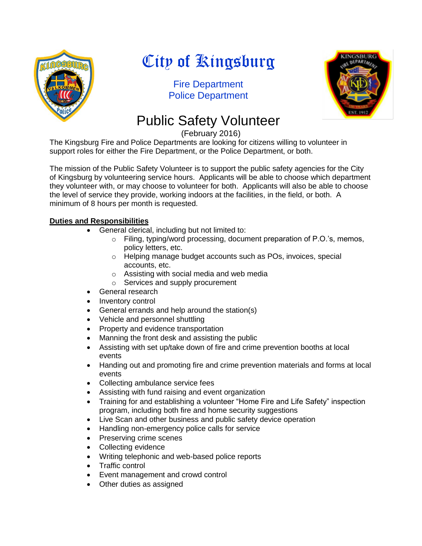

# City of Kingsburg

Fire Department Police Department



# Public Safety Volunteer

(February 2016)

The Kingsburg Fire and Police Departments are looking for citizens willing to volunteer in support roles for either the Fire Department, or the Police Department, or both.

The mission of the Public Safety Volunteer is to support the public safety agencies for the City of Kingsburg by volunteering service hours. Applicants will be able to choose which department they volunteer with, or may choose to volunteer for both. Applicants will also be able to choose the level of service they provide, working indoors at the facilities, in the field, or both. A minimum of 8 hours per month is requested.

### **Duties and Responsibilities**

- General clerical, including but not limited to:
	- o Filing, typing/word processing, document preparation of P.O.'s, memos, policy letters, etc.
	- o Helping manage budget accounts such as POs, invoices, special accounts, etc.
	- o Assisting with social media and web media
	- o Services and supply procurement
- General research
- Inventory control
- General errands and help around the station(s)
- Vehicle and personnel shuttling
- Property and evidence transportation
- Manning the front desk and assisting the public
- Assisting with set up/take down of fire and crime prevention booths at local events
- Handing out and promoting fire and crime prevention materials and forms at local events
- Collecting ambulance service fees
- Assisting with fund raising and event organization
- Training for and establishing a volunteer "Home Fire and Life Safety" inspection program, including both fire and home security suggestions
- Live Scan and other business and public safety device operation
- Handling non-emergency police calls for service
- Preserving crime scenes
- Collecting evidence
- Writing telephonic and web-based police reports
- Traffic control
- Event management and crowd control
- Other duties as assigned